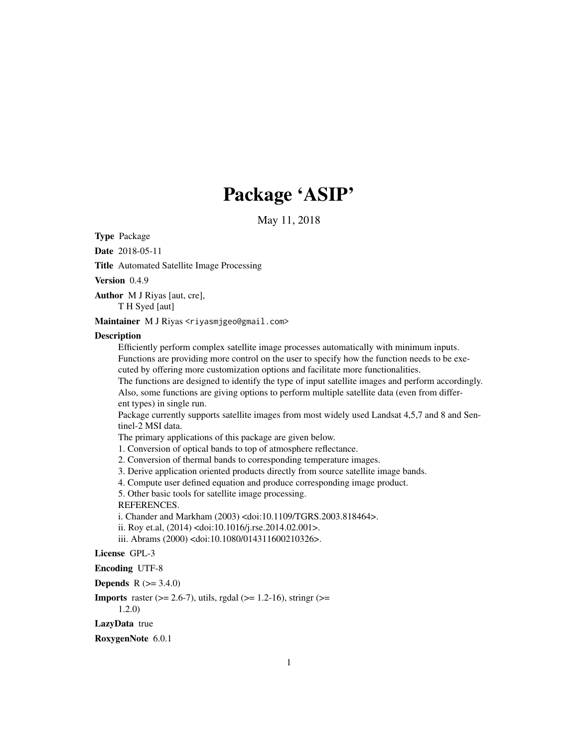# Package 'ASIP'

May 11, 2018

<span id="page-0-0"></span>Type Package

Date 2018-05-11

Title Automated Satellite Image Processing

Version 0.4.9

Author M J Riyas [aut, cre], T H Syed [aut]

Maintainer M J Riyas <riyasmjgeo@gmail.com>

#### **Description**

Efficiently perform complex satellite image processes automatically with minimum inputs. Functions are providing more control on the user to specify how the function needs to be executed by offering more customization options and facilitate more functionalities.

The functions are designed to identify the type of input satellite images and perform accordingly. Also, some functions are giving options to perform multiple satellite data (even from different types) in single run.

Package currently supports satellite images from most widely used Landsat 4,5,7 and 8 and Sentinel-2 MSI data.

The primary applications of this package are given below.

1. Conversion of optical bands to top of atmosphere reflectance.

2. Conversion of thermal bands to corresponding temperature images.

3. Derive application oriented products directly from source satellite image bands.

4. Compute user defined equation and produce corresponding image product.

5. Other basic tools for satellite image processing.

REFERENCES.

i. Chander and Markham (2003) <doi:10.1109/TGRS.2003.818464>.

ii. Roy et.al, (2014) <doi:10.1016/j.rse.2014.02.001>.

iii. Abrams (2000) <doi:10.1080/014311600210326>.

### License GPL-3

#### Encoding UTF-8

**Depends** R  $(>= 3.4.0)$ 

**Imports** raster  $(>= 2.6-7)$ , utils, rgdal  $(>= 1.2-16)$ , string r $(>= 1.2-16)$ 1.2.0)

#### LazyData true

RoxygenNote 6.0.1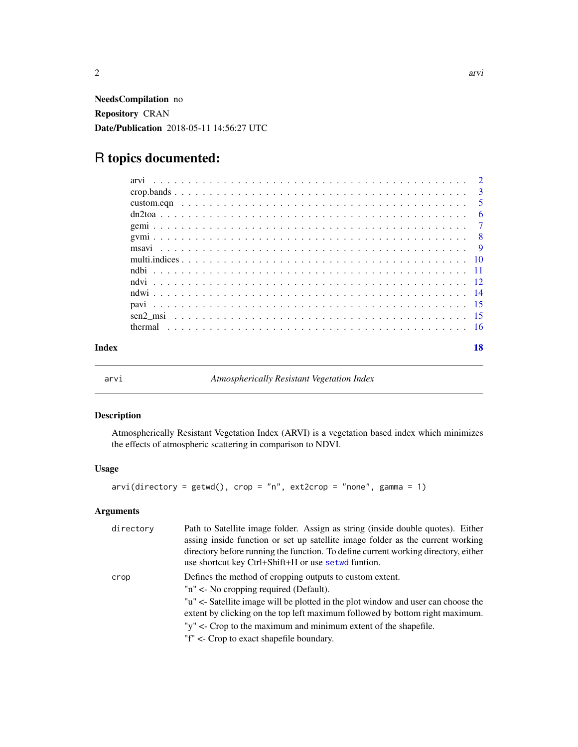<span id="page-1-0"></span>NeedsCompilation no Repository CRAN Date/Publication 2018-05-11 14:56:27 UTC

## R topics documented:

<span id="page-1-1"></span>

| arvı |  | Atmospherically Resistant Vegetation Index |
|------|--|--------------------------------------------|
|------|--|--------------------------------------------|

## Description

Atmospherically Resistant Vegetation Index (ARVI) is a vegetation based index which minimizes the effects of atmospheric scattering in comparison to NDVI.

#### Usage

```
arvi(directory = getwd(), crop = "n", ext2crop = "none", gamma = 1)
```
#### Arguments

| directory | Path to Satellite image folder. Assign as string (inside double quotes). Either<br>assing inside function or set up satellite image folder as the current working<br>directory before running the function. To define current working directory, either<br>use shortcut key Ctrl+Shift+H or use setwd funtion. |
|-----------|----------------------------------------------------------------------------------------------------------------------------------------------------------------------------------------------------------------------------------------------------------------------------------------------------------------|
| crop      | Defines the method of cropping outputs to custom extent.<br>"n" < No cropping required (Default).                                                                                                                                                                                                              |
|           | "u" <- Satellite image will be plotted in the plot window and user can choose the<br>extent by clicking on the top left maximum followed by bottom right maximum.                                                                                                                                              |
|           | " $y''$ <- Crop to the maximum and minimum extent of the shapefile.                                                                                                                                                                                                                                            |
|           | "f" <- Crop to exact shapefile boundary.                                                                                                                                                                                                                                                                       |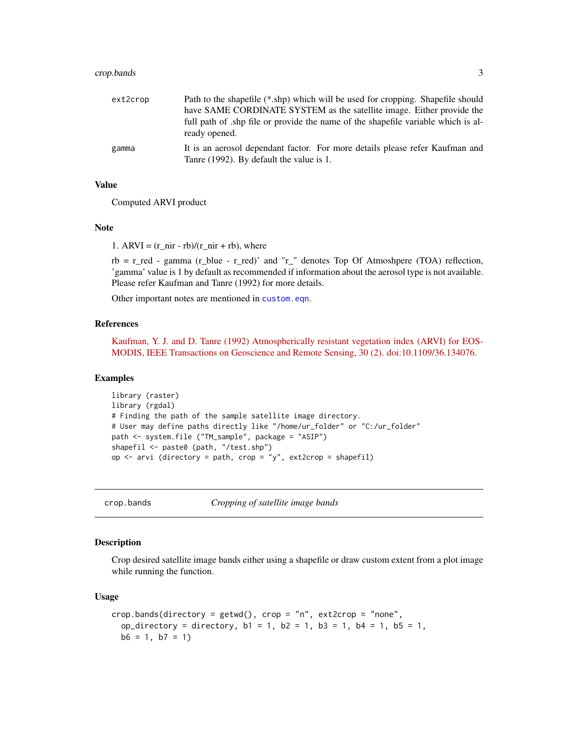#### <span id="page-2-0"></span>crop.bands 3

| ext2crop | Path to the shapefile (*.shp) which will be used for cropping. Shapefile should                                          |
|----------|--------------------------------------------------------------------------------------------------------------------------|
|          | have SAME CORDINATE SYSTEM as the satellite image. Either provide the                                                    |
|          | full path of ship file or provide the name of the shapefile variable which is al-<br>ready opened.                       |
| gamma    | It is an aerosol dependant factor. For more details please refer Kaufman and<br>Tanre (1992). By default the value is 1. |

#### Value

Computed ARVI product

#### Note

1. ARVI =  $(r_$ nir - rb)/ $(r_$ nir + rb), where

 $rb = r$  red - gamma (r blue - r red)' and "r " denotes Top Of Atmoshpere (TOA) reflection, 'gamma' value is 1 by default as recommended if information about the aerosol type is not available. Please refer Kaufman and Tanre (1992) for more details.

Other important notes are mentioned in [custom.eqn](#page-4-1).

#### References

[Kaufman, Y. J. and D. Tanre \(1992\) Atmospherically resistant vegetation index \(ARVI\) for EOS-](http://ieeexplore.ieee.org/document/134076/?arnumber=134076&tag=1)[MODIS, IEEE Transactions on Geoscience and Remote Sensing, 30 \(2\). doi:10.1109/36.134076.](http://ieeexplore.ieee.org/document/134076/?arnumber=134076&tag=1)

#### Examples

```
library (raster)
library (rgdal)
# Finding the path of the sample satellite image directory.
# User may define paths directly like "/home/ur_folder" or "C:/ur_folder"
path <- system.file ("TM_sample", package = "ASIP")
shapefil <- paste0 (path, "/test.shp")
op \le- arvi (directory = path, crop = "y", ext2crop = shapefil)
```
crop.bands *Cropping of satellite image bands*

#### **Description**

Crop desired satellite image bands either using a shapefile or draw custom extent from a plot image while running the function.

#### Usage

```
crop.bands(directory = getwd(), crop = nn, ext2crop = "none",
  op_directory = directory, b1 = 1, b2 = 1, b3 = 1, b4 = 1, b5 = 1,
 b6 = 1, b7 = 1)
```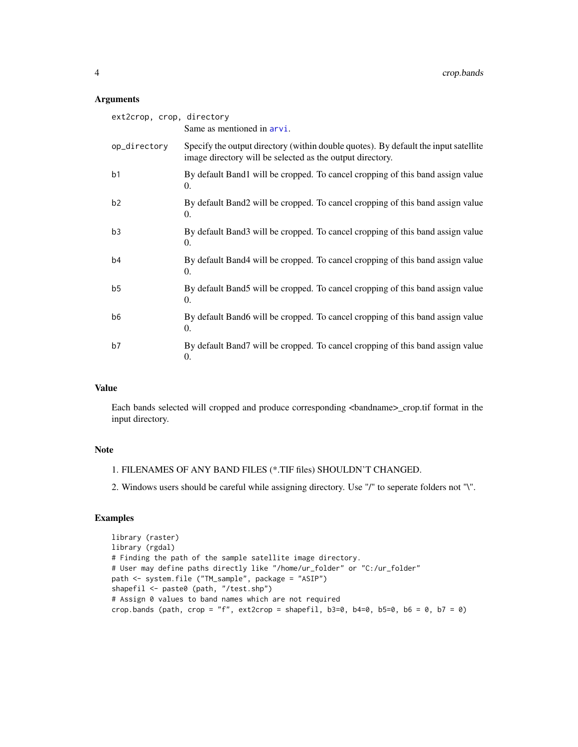#### <span id="page-3-0"></span>Arguments

| ext2crop, crop, directory | Same as mentioned in arvi.                                                                                                                       |
|---------------------------|--------------------------------------------------------------------------------------------------------------------------------------------------|
| op_directory              | Specify the output directory (within double quotes). By default the input satellite<br>image directory will be selected as the output directory. |
| b1                        | By default Band1 will be cropped. To cancel cropping of this band assign value<br>$\Omega$ .                                                     |
| b2                        | By default Band2 will be cropped. To cancel cropping of this band assign value<br>$\Omega$ .                                                     |
| b <sub>3</sub>            | By default Band3 will be cropped. To cancel cropping of this band assign value<br>$\Omega$ .                                                     |
| b4                        | By default Band4 will be cropped. To cancel cropping of this band assign value<br>0.                                                             |
| b <sub>5</sub>            | By default Band5 will be cropped. To cancel cropping of this band assign value<br>0.                                                             |
| b <sub>6</sub>            | By default Band6 will be cropped. To cancel cropping of this band assign value<br>$\Omega$ .                                                     |
| b7                        | By default Band7 will be cropped. To cancel cropping of this band assign value<br>0.                                                             |

#### Value

Each bands selected will cropped and produce corresponding <br/>bandname>\_crop.tif format in the input directory.

#### Note

- 1. FILENAMES OF ANY BAND FILES (\*.TIF files) SHOULDN'T CHANGED.
- 2. Windows users should be careful while assigning directory. Use "/" to seperate folders not "\".

```
library (raster)
library (rgdal)
# Finding the path of the sample satellite image directory.
# User may define paths directly like "/home/ur_folder" or "C:/ur_folder"
path <- system.file ("TM_sample", package = "ASIP")
shapefil <- paste0 (path, "/test.shp")
# Assign 0 values to band names which are not required
crop.bands (path, crop = "f", ext2crop = shapefil, b3=0, b4=0, b5=0, b6 = 0, b7 = 0)
```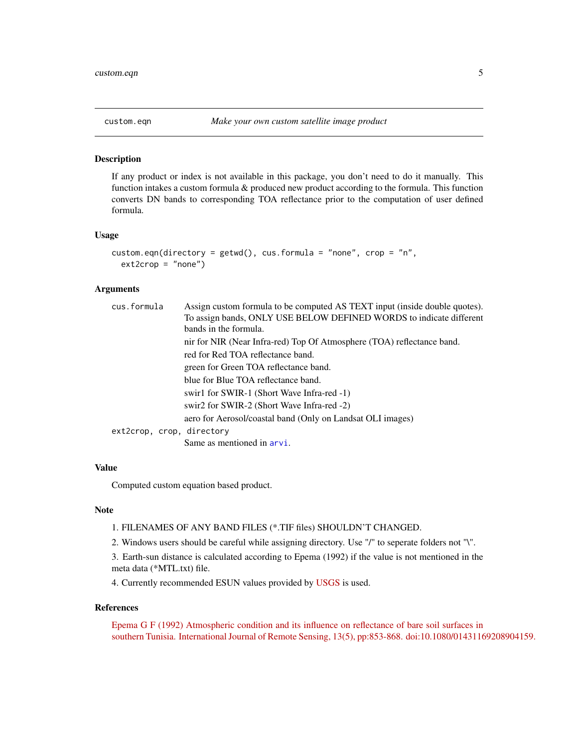<span id="page-4-1"></span><span id="page-4-0"></span>

#### Description

If any product or index is not available in this package, you don't need to do it manually. This function intakes a custom formula & produced new product according to the formula. This function converts DN bands to corresponding TOA reflectance prior to the computation of user defined formula.

#### Usage

```
custom.eqn(directory = getwd(), cus.formula = "none", crop = "n",
 ext2crop = "none")
```
#### Arguments

| cus.formula               | Assign custom formula to be computed AS TEXT input (inside double quotes). |
|---------------------------|----------------------------------------------------------------------------|
|                           | To assign bands, ONLY USE BELOW DEFINED WORDS to indicate different        |
|                           | bands in the formula.                                                      |
|                           | nir for NIR (Near Infra-red) Top Of Atmosphere (TOA) reflectance band.     |
|                           | red for Red TOA reflectance band.                                          |
|                           | green for Green TOA reflectance band.                                      |
|                           | blue for Blue TOA reflectance band.                                        |
|                           | swir1 for SWIR-1 (Short Wave Infra-red -1)                                 |
|                           | swir2 for SWIR-2 (Short Wave Infra-red -2)                                 |
|                           | aero for Aerosol/coastal band (Only on Landsat OLI images)                 |
| ext2crop, crop, directory |                                                                            |
|                           | Same as mentioned in arvi.                                                 |

#### Value

Computed custom equation based product.

#### Note

- 1. FILENAMES OF ANY BAND FILES (\*.TIF files) SHOULDN'T CHANGED.
- 2. Windows users should be careful while assigning directory. Use "/" to seperate folders not "\".
- 3. Earth-sun distance is calculated according to Epema (1992) if the value is not mentioned in the meta data (\*MTL.txt) file.
- 4. Currently recommended ESUN values provided by [USGS](https://landsat.usgs.gov/esun) is used.

#### References

[Epema G F \(1992\) Atmospheric condition and its influence on reflectance of bare soil surfaces in](http://www.tandfonline.com/doi/ref/10.1080/01431169208904159) [southern Tunisia. International Journal of Remote Sensing, 13\(5\), pp:853-868. doi:10.1080/01431169208904159.](http://www.tandfonline.com/doi/ref/10.1080/01431169208904159)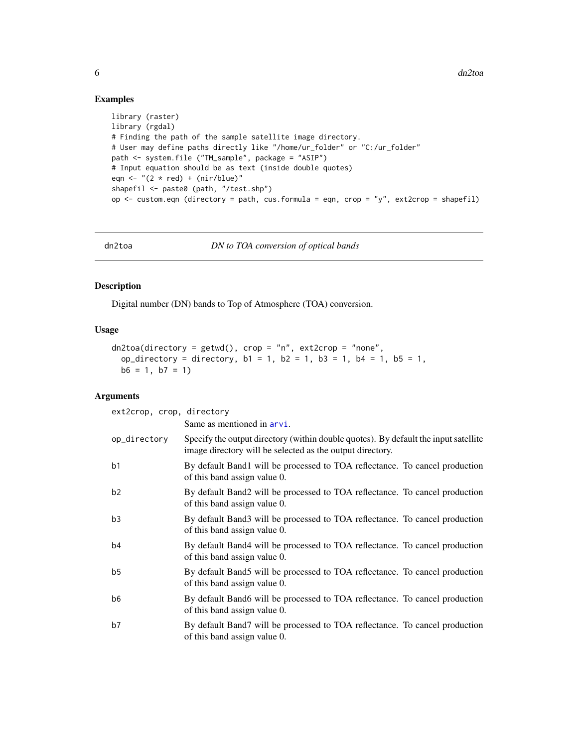#### Examples

```
library (raster)
library (rgdal)
# Finding the path of the sample satellite image directory.
# User may define paths directly like "/home/ur_folder" or "C:/ur_folder"
path <- system.file ("TM_sample", package = "ASIP")
# Input equation should be as text (inside double quotes)
eqn \leftarrow "(2 \star red) + (nir/blue)"
shapefil <- paste0 (path, "/test.shp")
op \le - custom.eqn (directory = path, cus.formula = eqn, crop = "y", ext2crop = shapefil)
```

```
dn2toa DN to TOA conversion of optical bands
```
#### Description

Digital number (DN) bands to Top of Atmosphere (TOA) conversion.

### Usage

```
dn2toa(directory = getwd(), crop = "n", ext2crop = "none",
 op_directory = directory, b1 = 1, b2 = 1, b3 = 1, b4 = 1, b5 = 1,
 b6 = 1, b7 = 1
```
#### Arguments

| ext2crop, crop, directory |                                                                                                                                                  |
|---------------------------|--------------------------------------------------------------------------------------------------------------------------------------------------|
|                           | Same as mentioned in arvi.                                                                                                                       |
| op_directory              | Specify the output directory (within double quotes). By default the input satellite<br>image directory will be selected as the output directory. |
| b1                        | By default Band1 will be processed to TOA reflectance. To cancel production<br>of this band assign value 0.                                      |
| b2                        | By default Band2 will be processed to TOA reflectance. To cancel production<br>of this band assign value 0.                                      |
| b3                        | By default Band3 will be processed to TOA reflectance. To cancel production<br>of this band assign value 0.                                      |
| b4                        | By default Band4 will be processed to TOA reflectance. To cancel production<br>of this band assign value 0.                                      |
| b <sub>5</sub>            | By default Band5 will be processed to TOA reflectance. To cancel production<br>of this band assign value 0.                                      |
| b <sub>6</sub>            | By default Band6 will be processed to TOA reflectance. To cancel production<br>of this band assign value 0.                                      |
| b7                        | By default Band7 will be processed to TOA reflectance. To cancel production<br>of this band assign value 0.                                      |

<span id="page-5-0"></span>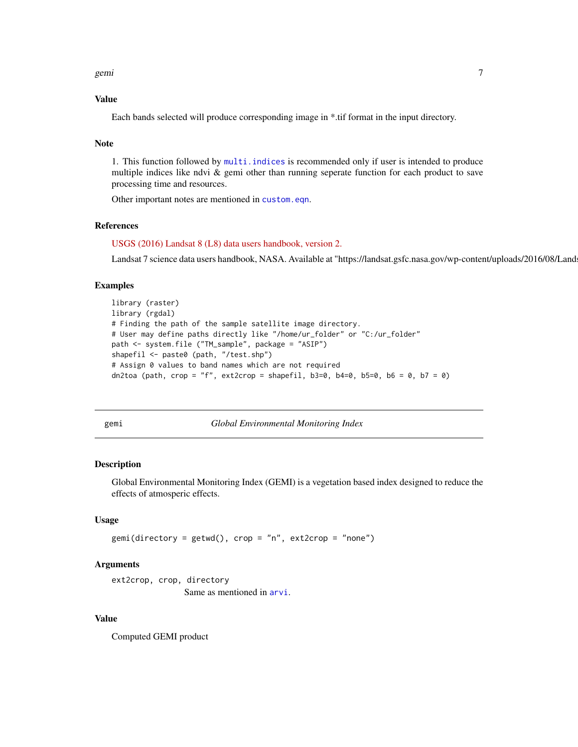#### <span id="page-6-0"></span>gemi 2008 - 2009 - 2009 - 2009 - 2009 - 2009 - 2009 - 2009 - 2009 - 2009 - 2009 - 2009 - 2009 - 2009 - 2009 -

#### Value

Each bands selected will produce corresponding image in \*.tif format in the input directory.

#### Note

1. This function followed by [multi.indices](#page-9-1) is recommended only if user is intended to produce multiple indices like ndvi & gemi other than running seperate function for each product to save processing time and resources.

Other important notes are mentioned in [custom.eqn](#page-4-1).

#### References

[USGS \(2016\) Landsat 8 \(L8\) data users handbook, version 2.](https://landsat.usgs.gov/sites/default/files/documents/Landsat8DataUsersHandbook.pdf)

Landsat 7 science data users handbook, NASA. Available at "https://landsat.gsfc.nasa.gov/wp-content/uploads/2016/08/Land

#### Examples

```
library (raster)
library (rgdal)
# Finding the path of the sample satellite image directory.
# User may define paths directly like "/home/ur_folder" or "C:/ur_folder"
path <- system.file ("TM_sample", package = "ASIP")
shapefil <- paste0 (path, "/test.shp")
# Assign 0 values to band names which are not required
dn2toa (path, crop = "f", ext2crop = shapefil, b3=0, b4=0, b5=0, b6 = 0, b7 = 0)
```
<span id="page-6-1"></span>gemi *Global Environmental Monitoring Index*

#### **Description**

Global Environmental Monitoring Index (GEMI) is a vegetation based index designed to reduce the effects of atmosperic effects.

#### Usage

```
gemi(directory = getwd(), crop = "n", ext2crop = "none")
```
#### Arguments

```
ext2crop, crop, directory
                 Same as mentioned in arvi.
```
#### Value

Computed GEMI product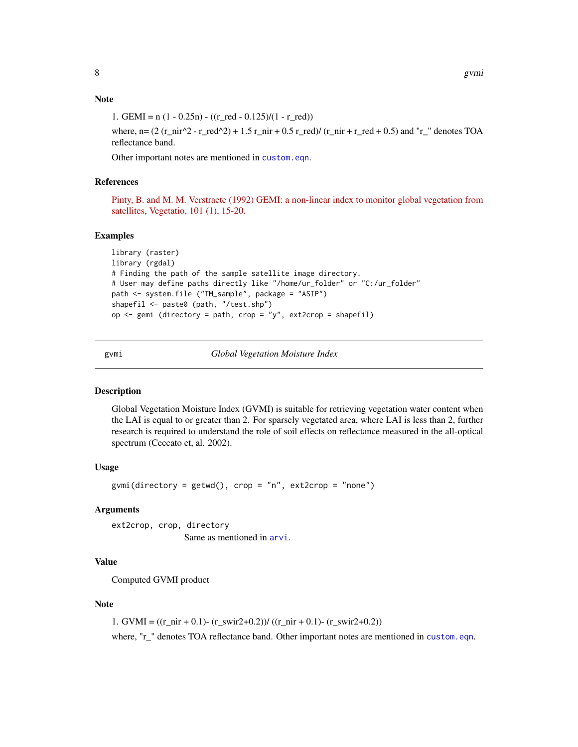#### <span id="page-7-0"></span>Note

1. GEMI =  $n(1 - 0.25n) - ((r \text{ red} - 0.125)/(1 - r \text{ red}))$ 

where,  $n= (2 (r_nir^2 - r_lred^2) + 1.5 r_nir + 0.5 r_lred)/(r_nir + r_lred + 0.5)$  and "r\_" denotes TOA reflectance band.

Other important notes are mentioned in [custom.eqn](#page-4-1).

#### References

[Pinty, B. and M. M. Verstraete \(1992\) GEMI: a non-linear index to monitor global vegetation from](https://link.springer.com/article/10.1007/BF00031911) [satellites, Vegetatio, 101 \(1\), 15-20.](https://link.springer.com/article/10.1007/BF00031911)

#### Examples

```
library (raster)
library (rgdal)
# Finding the path of the sample satellite image directory.
# User may define paths directly like "/home/ur_folder" or "C:/ur_folder"
path <- system.file ("TM_sample", package = "ASIP")
shapefil <- paste0 (path, "/test.shp")
op \leq gemi (directory = path, crop = "y", ext2crop = shapefil)
```
<span id="page-7-1"></span>gvmi *Global Vegetation Moisture Index*

#### Description

Global Vegetation Moisture Index (GVMI) is suitable for retrieving vegetation water content when the LAI is equal to or greater than 2. For sparsely vegetated area, where LAI is less than 2, further research is required to understand the role of soil effects on reflectance measured in the all-optical spectrum (Ceccato et, al. 2002).

#### Usage

gvmi(directory = getwd(),  $\text{crop} = "n", \text{ext2crop} = "none")$ 

#### Arguments

ext2crop, crop, directory Same as mentioned in [arvi](#page-1-1).

#### Value

Computed GVMI product

#### Note

1. GVMI =  $((r_nir + 0.1)$ -  $(r_swir2+0.2)$ )/  $((r_nir + 0.1)$ -  $(r_swir2+0.2))$ 

where, "r\_" denotes TOA reflectance band. Other important notes are mentioned in [custom.eqn](#page-4-1).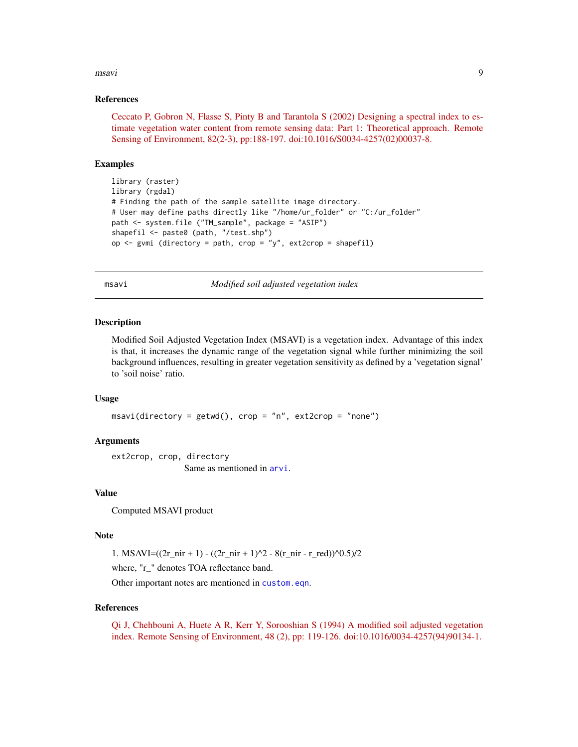#### <span id="page-8-0"></span>msavi 9

#### References

[Ceccato P, Gobron N, Flasse S, Pinty B and Tarantola S \(2002\) Designing a spectral index to es](http://www.sciencedirect.com/science/article/pii/S0034425702000378)[timate vegetation water content from remote sensing data: Part 1: Theoretical approach. Remote](http://www.sciencedirect.com/science/article/pii/S0034425702000378) [Sensing of Environment, 82\(2-3\), pp:188-197. doi:10.1016/S0034-4257\(02\)00037-8.](http://www.sciencedirect.com/science/article/pii/S0034425702000378)

#### Examples

```
library (raster)
library (rgdal)
# Finding the path of the sample satellite image directory.
# User may define paths directly like "/home/ur_folder" or "C:/ur_folder"
path <- system.file ("TM_sample", package = "ASIP")
shapefil <- paste0 (path, "/test.shp")
op \leq gvmi (directory = path, crop = "y", ext2crop = shapefil)
```
<span id="page-8-1"></span>msavi *Modified soil adjusted vegetation index*

#### **Description**

Modified Soil Adjusted Vegetation Index (MSAVI) is a vegetation index. Advantage of this index is that, it increases the dynamic range of the vegetation signal while further minimizing the soil background influences, resulting in greater vegetation sensitivity as defined by a 'vegetation signal' to 'soil noise' ratio.

#### Usage

 $msavi$ (directory = getwd(), crop = "n", ext2crop = "none")

#### Arguments

ext2crop, crop, directory Same as mentioned in [arvi](#page-1-1).

#### Value

Computed MSAVI product

#### Note

1. MSAVI= $((2r_nir + 1) - ((2r_-nir + 1)^2 - 8(r_nir - r_red))^0.5)/2$ 

where, "r\_" denotes TOA reflectance band.

Other important notes are mentioned in [custom.eqn](#page-4-1).

#### References

[Qi J, Chehbouni A, Huete A R, Kerr Y, Sorooshian S \(1994\) A modified soil adjusted vegetation](http://www.sciencedirect.com/science/article/pii/0034425794901341) [index. Remote Sensing of Environment, 48 \(2\), pp: 119-126. doi:10.1016/0034-4257\(94\)90134-1.](http://www.sciencedirect.com/science/article/pii/0034425794901341)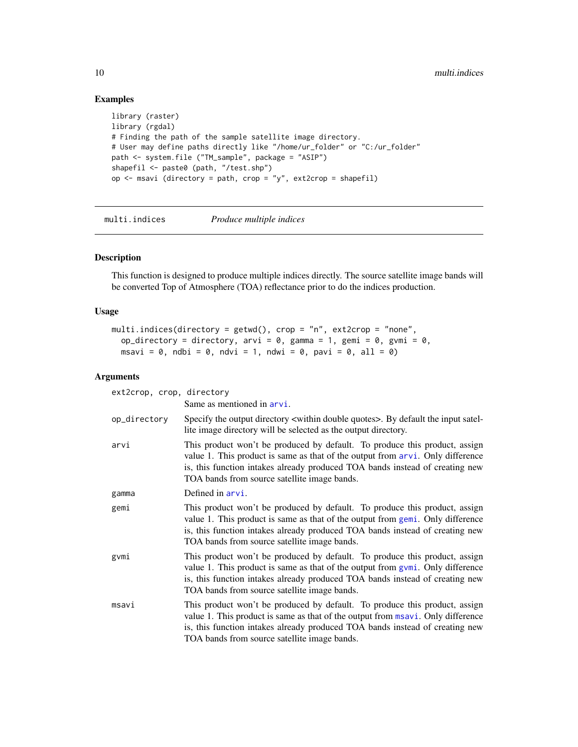#### Examples

```
library (raster)
library (rgdal)
# Finding the path of the sample satellite image directory.
# User may define paths directly like "/home/ur_folder" or "C:/ur_folder"
path <- system.file ("TM_sample", package = "ASIP")
shapefil <- paste0 (path, "/test.shp")
op \le- msavi (directory = path, crop = "y", ext2crop = shapefil)
```
<span id="page-9-1"></span>multi.indices *Produce multiple indices*

#### Description

This function is designed to produce multiple indices directly. The source satellite image bands will be converted Top of Atmosphere (TOA) reflectance prior to do the indices production.

#### Usage

```
multi.indices(directory = getwd(), crop = "n", ext2crop = "none",
 op_directory = directory, arvi = 0, gamma = 1, gemi = 0, gvmi = 0,
 msavi = 0, ndbi = 0, ndvi = 1, ndwi = 0, pavi = 0, all = 0)
```
#### Arguments

| ext2crop, crop, directory |                                                                                                                                                                                                                                                                                               |
|---------------------------|-----------------------------------------------------------------------------------------------------------------------------------------------------------------------------------------------------------------------------------------------------------------------------------------------|
|                           | Same as mentioned in arvi.                                                                                                                                                                                                                                                                    |
| op_directory              | Specify the output directory $\lt$ within double quotes $>$ . By default the input satel-<br>lite image directory will be selected as the output directory.                                                                                                                                   |
| arvi                      | This product won't be produced by default. To produce this product, assign<br>value 1. This product is same as that of the output from arvi. Only difference<br>is, this function intakes already produced TOA bands instead of creating new<br>TOA bands from source satellite image bands.  |
| gamma                     | Defined in arvi.                                                                                                                                                                                                                                                                              |
| gemi                      | This product won't be produced by default. To produce this product, assign<br>value 1. This product is same as that of the output from gemi. Only difference<br>is, this function intakes already produced TOA bands instead of creating new<br>TOA bands from source satellite image bands.  |
| gvmi                      | This product won't be produced by default. To produce this product, assign<br>value 1. This product is same as that of the output from gymi. Only difference<br>is, this function intakes already produced TOA bands instead of creating new<br>TOA bands from source satellite image bands.  |
| msavi                     | This product won't be produced by default. To produce this product, assign<br>value 1. This product is same as that of the output from msavi. Only difference<br>is, this function intakes already produced TOA bands instead of creating new<br>TOA bands from source satellite image bands. |

<span id="page-9-0"></span>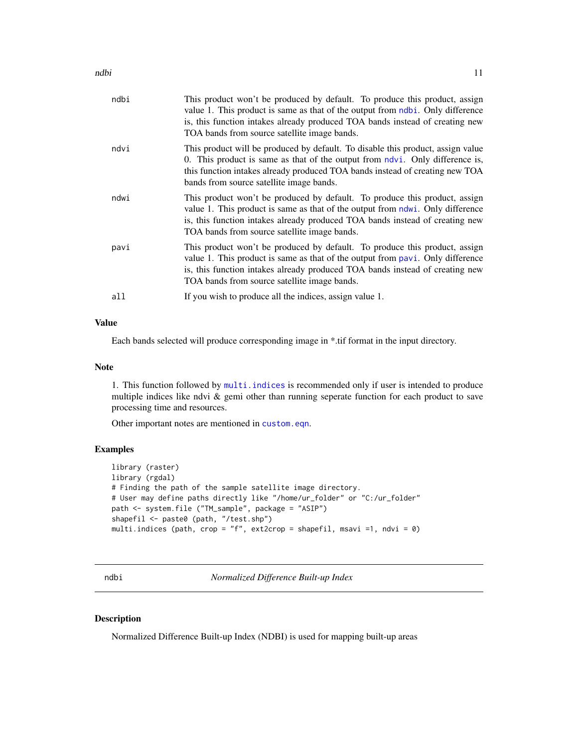<span id="page-10-0"></span>

| ndbi | This product won't be produced by default. To produce this product, assign<br>value 1. This product is same as that of the output from ndbi. Only difference<br>is, this function intakes already produced TOA bands instead of creating new<br>TOA bands from source satellite image bands. |
|------|----------------------------------------------------------------------------------------------------------------------------------------------------------------------------------------------------------------------------------------------------------------------------------------------|
| ndvi | This product will be produced by default. To disable this product, assign value<br>0. This product is same as that of the output from ndvi. Only difference is,<br>this function intakes already produced TOA bands instead of creating new TOA<br>bands from source satellite image bands.  |
| ndwi | This product won't be produced by default. To produce this product, assign<br>value 1. This product is same as that of the output from ndwi. Only difference<br>is, this function intakes already produced TOA bands instead of creating new<br>TOA bands from source satellite image bands. |
| pavi | This product won't be produced by default. To produce this product, assign<br>value 1. This product is same as that of the output from pavi. Only difference<br>is, this function intakes already produced TOA bands instead of creating new<br>TOA bands from source satellite image bands. |
| all  | If you wish to produce all the indices, assign value 1.                                                                                                                                                                                                                                      |
|      |                                                                                                                                                                                                                                                                                              |

#### Value

Each bands selected will produce corresponding image in \*.tif format in the input directory.

#### Note

1. This function followed by [multi.indices](#page-9-1) is recommended only if user is intended to produce multiple indices like ndvi & gemi other than running seperate function for each product to save processing time and resources.

Other important notes are mentioned in [custom.eqn](#page-4-1).

#### Examples

```
library (raster)
library (rgdal)
# Finding the path of the sample satellite image directory.
# User may define paths directly like "/home/ur_folder" or "C:/ur_folder"
path <- system.file ("TM_sample", package = "ASIP")
shapefil <- paste0 (path, "/test.shp")
multi.indices (path, crop = "f", ext2crop = shapefil, msavi =1, ndvi = 0)
```
<span id="page-10-1"></span>ndbi *Normalized Difference Built-up Index*

#### Description

Normalized Difference Built-up Index (NDBI) is used for mapping built-up areas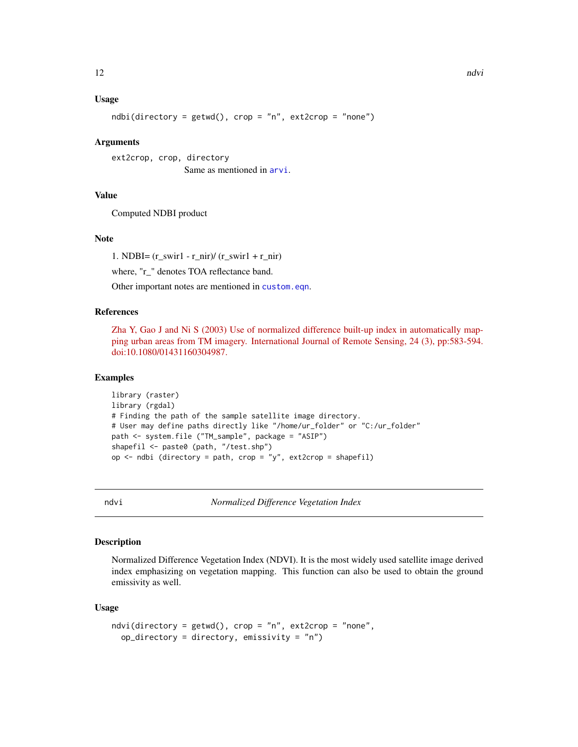#### <span id="page-11-0"></span>Usage

 $ndbi(directory = getwd(), crop = "n", ext2crop = "none")$ 

#### Arguments

ext2crop, crop, directory Same as mentioned in [arvi](#page-1-1).

#### Value

Computed NDBI product

#### Note

1. NDBI=  $(r$ \_swir1 - r\_nir)/  $(r$ \_swir1 + r\_nir)

where, "r\_" denotes TOA reflectance band.

Other important notes are mentioned in [custom.eqn](#page-4-1).

#### References

[Zha Y, Gao J and Ni S \(2003\) Use of normalized difference built-up index in automatically map](http://www.tandfonline.com/doi/abs/10.1080/01431160304987)[ping urban areas from TM imagery. International Journal of Remote Sensing, 24 \(3\), pp:583-594.](http://www.tandfonline.com/doi/abs/10.1080/01431160304987) [doi:10.1080/01431160304987.](http://www.tandfonline.com/doi/abs/10.1080/01431160304987)

#### Examples

```
library (raster)
library (rgdal)
# Finding the path of the sample satellite image directory.
# User may define paths directly like "/home/ur_folder" or "C:/ur_folder"
path <- system.file ("TM_sample", package = "ASIP")
shapefil <- paste0 (path, "/test.shp")
op \le- ndbi (directory = path, crop = "y", ext2crop = shapefil)
```
<span id="page-11-1"></span>

ndvi *Normalized Difference Vegetation Index*

#### Description

Normalized Difference Vegetation Index (NDVI). It is the most widely used satellite image derived index emphasizing on vegetation mapping. This function can also be used to obtain the ground emissivity as well.

#### Usage

```
ndvi(directory = getwd(), crop = "n", ext2crop = "none",
 op\_directory = directory, emissivity = "n")
```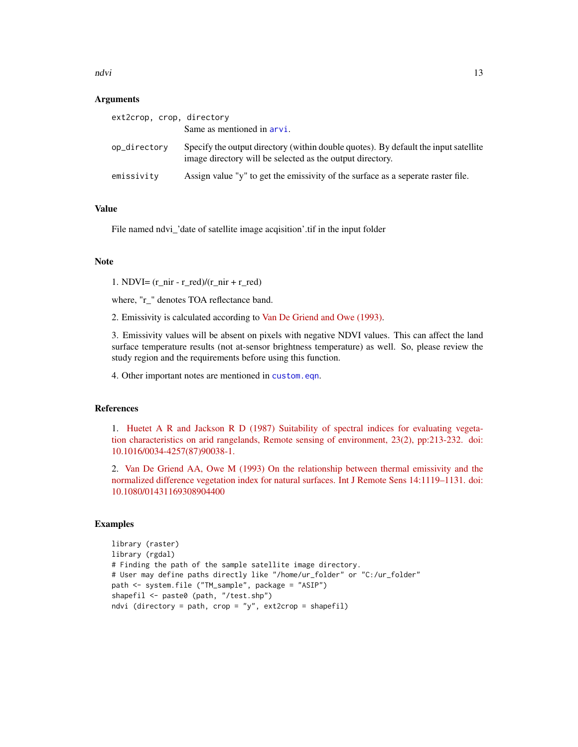$\frac{13}{13}$ 

#### Arguments

| ext2crop, crop, directory |                                                                                                                                                  |
|---------------------------|--------------------------------------------------------------------------------------------------------------------------------------------------|
|                           | Same as mentioned in arvi.                                                                                                                       |
| op_directory              | Specify the output directory (within double quotes). By default the input satellite<br>image directory will be selected as the output directory. |
| emissivity                | Assign value "y" to get the emissivity of the surface as a seperate raster file.                                                                 |

#### Value

File named ndvi\_'date of satellite image acqisition'.tif in the input folder

#### **Note**

1. NDVI= $(r_inir - r_red)/(r_inir + r_red)$ 

where, "r\_" denotes TOA reflectance band.

2. Emissivity is calculated according to [Van De Griend and Owe \(1993\).](http://www.tandfonline.com/doi/abs/10.1080/01431169308904400)

3. Emissivity values will be absent on pixels with negative NDVI values. This can affect the land surface temperature results (not at-sensor brightness temperature) as well. So, please review the study region and the requirements before using this function.

4. Other important notes are mentioned in [custom.eqn](#page-4-1).

#### References

1. [Huetet A R and Jackson R D \(1987\) Suitability of spectral indices for evaluating vegeta](http://www.sciencedirect.com/science/article/pii/0034425787900381)[tion characteristics on arid rangelands, Remote sensing of environment, 23\(2\), pp:213-232. doi:](http://www.sciencedirect.com/science/article/pii/0034425787900381) [10.1016/0034-4257\(87\)90038-1.](http://www.sciencedirect.com/science/article/pii/0034425787900381)

2. [Van De Griend AA, Owe M \(1993\) On the relationship between thermal emissivity and the](http://www.tandfonline.com/doi/abs/10.1080/01431169308904400) [normalized difference vegetation index for natural surfaces. Int J Remote Sens 14:1119–1131. doi:](http://www.tandfonline.com/doi/abs/10.1080/01431169308904400) [10.1080/01431169308904400](http://www.tandfonline.com/doi/abs/10.1080/01431169308904400)

```
library (raster)
library (rgdal)
# Finding the path of the sample satellite image directory.
# User may define paths directly like "/home/ur_folder" or "C:/ur_folder"
path <- system.file ("TM_sample", package = "ASIP")
shapefil <- paste0 (path, "/test.shp")
ndvi (directory = path, crop = "y", ext2crop = shapefil)
```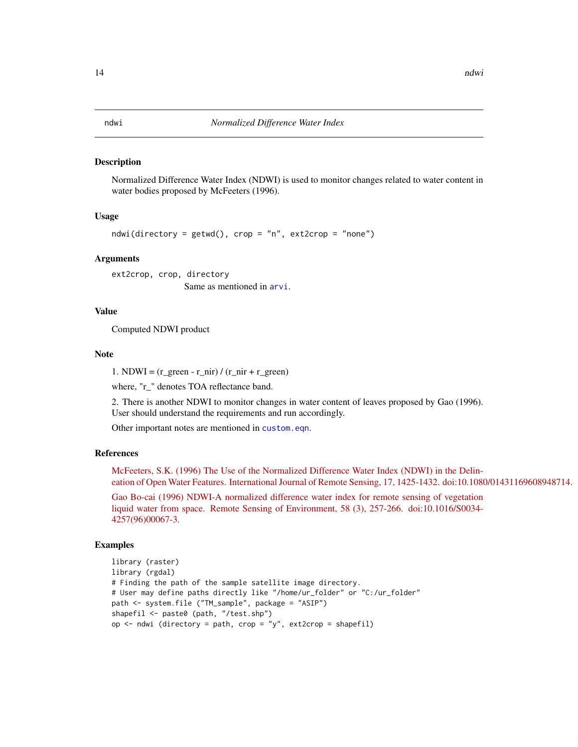#### <span id="page-13-1"></span><span id="page-13-0"></span>Description

Normalized Difference Water Index (NDWI) is used to monitor changes related to water content in water bodies proposed by McFeeters (1996).

#### Usage

```
ndwi(directory = getwd(), crop = "n", ext2crop = "none")
```
#### Arguments

ext2crop, crop, directory Same as mentioned in [arvi](#page-1-1).

#### Value

Computed NDWI product

#### Note

1. NDWI =  $(r\_green - r\_nir) / (r\_nir + r\_green)$ 

where, "r\_" denotes TOA reflectance band.

2. There is another NDWI to monitor changes in water content of leaves proposed by Gao (1996). User should understand the requirements and run accordingly.

Other important notes are mentioned in [custom.eqn](#page-4-1).

#### References

[McFeeters, S.K. \(1996\) The Use of the Normalized Difference Water Index \(NDWI\) in the Delin](http://www.tandfonline.com/doi/abs/10.1080/01431169608948714)[eation of Open Water Features. International Journal of Remote Sensing, 17, 1425-1432. doi:10.1080/01431169608948714.](http://www.tandfonline.com/doi/abs/10.1080/01431169608948714)

[Gao Bo-cai \(1996\) NDWI-A normalized difference water index for remote sensing of vegetation](http://www.sciencedirect.com/science/article/pii/S0034425796000673) [liquid water from space. Remote Sensing of Environment, 58 \(3\), 257-266. doi:10.1016/S0034-](http://www.sciencedirect.com/science/article/pii/S0034425796000673) [4257\(96\)00067-3.](http://www.sciencedirect.com/science/article/pii/S0034425796000673)

```
library (raster)
library (rgdal)
# Finding the path of the sample satellite image directory.
# User may define paths directly like "/home/ur_folder" or "C:/ur_folder"
path <- system.file ("TM_sample", package = "ASIP")
shapefil <- paste0 (path, "/test.shp")
op \leq ndwi (directory = path, crop = "y", ext2crop = shapefil)
```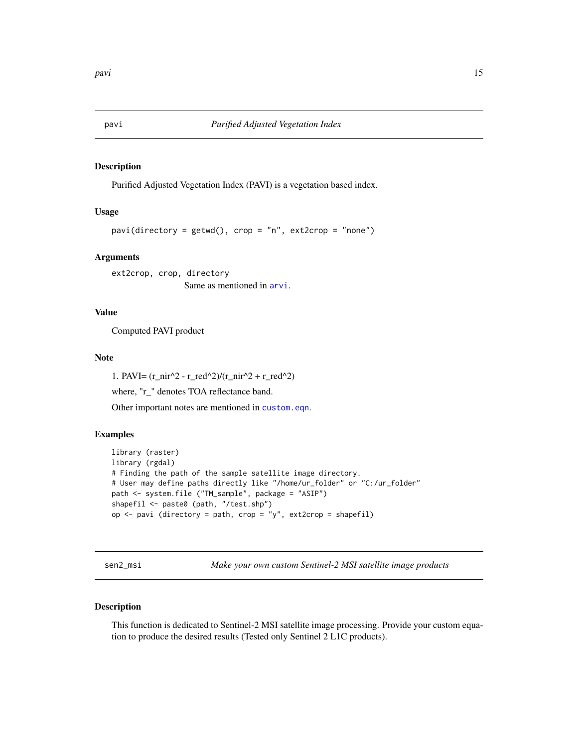<span id="page-14-1"></span><span id="page-14-0"></span>

#### Description

Purified Adjusted Vegetation Index (PAVI) is a vegetation based index.

#### Usage

```
pavi(directory = getwd(), crop = "n", ext2crop = "none")
```
#### Arguments

ext2crop, crop, directory Same as mentioned in [arvi](#page-1-1).

#### Value

Computed PAVI product

#### Note

1. PAVI=  $(r\_nir^2 - r\_red^2)/(r\_nir^2 + r\_red^2)$ where, "r\_" denotes TOA reflectance band. Other important notes are mentioned in [custom.eqn](#page-4-1).

#### Examples

```
library (raster)
library (rgdal)
# Finding the path of the sample satellite image directory.
# User may define paths directly like "/home/ur_folder" or "C:/ur_folder"
path <- system.file ("TM_sample", package = "ASIP")
shapefil <- paste0 (path, "/test.shp")
op \le- pavi (directory = path, crop = "y", ext2crop = shapefil)
```
sen2\_msi *Make your own custom Sentinel-2 MSI satellite image products*

#### Description

This function is dedicated to Sentinel-2 MSI satellite image processing. Provide your custom equation to produce the desired results (Tested only Sentinel 2 L1C products).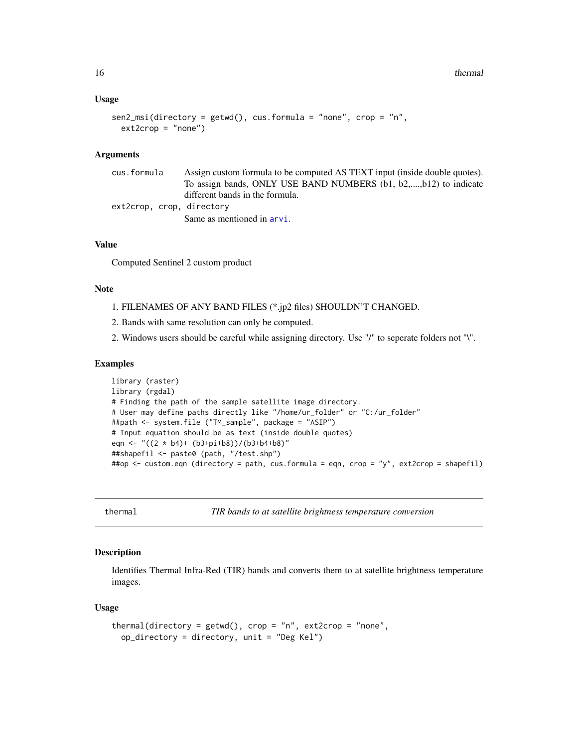#### <span id="page-15-0"></span>Usage

```
sen2_m\,(iirector) = getwd(), cus.formula = "none", crop = "n",ext2crop = "none")
```
#### Arguments

| cus.formula               | Assign custom formula to be computed AS TEXT input (inside double quotes). |
|---------------------------|----------------------------------------------------------------------------|
|                           | To assign bands, ONLY USE BAND NUMBERS (b1, b2,,b12) to indicate           |
|                           | different bands in the formula.                                            |
| ext2crop, crop, directory |                                                                            |
|                           | Same as mentioned in arvi.                                                 |

#### Value

Computed Sentinel 2 custom product

#### Note

- 1. FILENAMES OF ANY BAND FILES (\*.jp2 files) SHOULDN'T CHANGED.
- 2. Bands with same resolution can only be computed.
- 2. Windows users should be careful while assigning directory. Use "/" to seperate folders not "\".

#### Examples

```
library (raster)
library (rgdal)
# Finding the path of the sample satellite image directory.
# User may define paths directly like "/home/ur_folder" or "C:/ur_folder"
##path <- system.file ("TM_sample", package = "ASIP")
# Input equation should be as text (inside double quotes)
eqn <- "((2 * b4)+ (b3+pi+b8))/(b3+b4+b8)"
##shapefil <- paste0 (path, "/test.shp")
##op <- custom.eqn (directory = path, cus.formula = eqn, crop = "y", ext2crop = shapefil)
```
thermal *TIR bands to at satellite brightness temperature conversion*

#### **Description**

Identifies Thermal Infra-Red (TIR) bands and converts them to at satellite brightness temperature images.

#### Usage

```
thermal(directory = getwd(), crop = "n", ext2crop = "none",
 op_directory = directory, unit = "Deg Kel")
```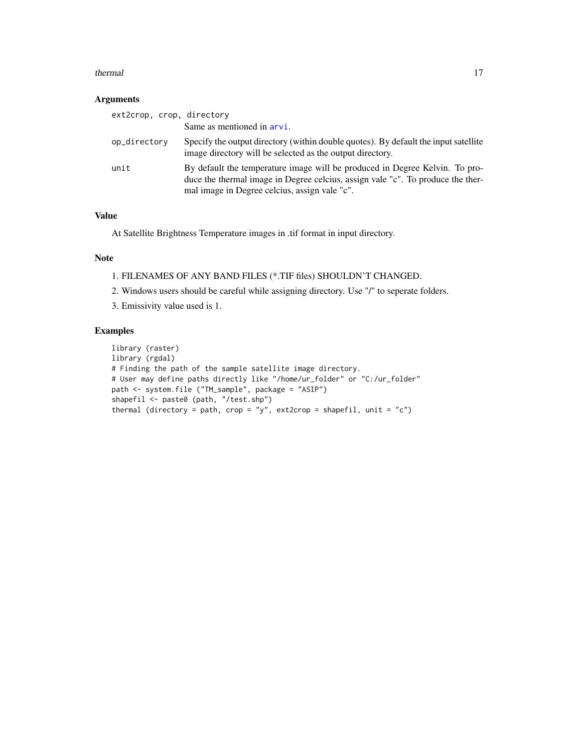#### <span id="page-16-0"></span>thermal the state of the state of the state of the state of the state of the state of the state of the state of the state of the state of the state of the state of the state of the state of the state of the state of the st

#### Arguments

| ext2crop, crop, directory |                                                                                                                                                                                                                 |
|---------------------------|-----------------------------------------------------------------------------------------------------------------------------------------------------------------------------------------------------------------|
|                           | Same as mentioned in arvi.                                                                                                                                                                                      |
| op_directory              | Specify the output directory (within double quotes). By default the input satellite<br>image directory will be selected as the output directory.                                                                |
| unit                      | By default the temperature image will be produced in Degree Kelvin. To pro-<br>duce the thermal image in Degree celcius, assign vale "c". To produce the ther-<br>mal image in Degree celcius, assign vale "c". |

#### Value

At Satellite Brightness Temperature images in .tif format in input directory.

#### Note

- 1. FILENAMES OF ANY BAND FILES (\*.TIF files) SHOULDN'T CHANGED.
- 2. Windows users should be careful while assigning directory. Use "/" to seperate folders.
- 3. Emissivity value used is 1.

```
library (raster)
library (rgdal)
# Finding the path of the sample satellite image directory.
# User may define paths directly like "/home/ur_folder" or "C:/ur_folder"
path <- system.file ("TM_sample", package = "ASIP")
shapefil <- paste0 (path, "/test.shp")
thermal (directory = path, crop = "y", ext2crop = shapefil, unit = "c")
```